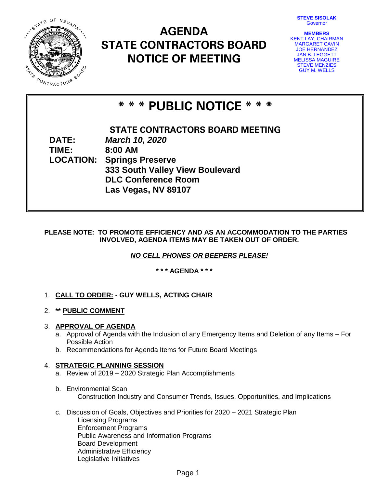**STEVE SISOLAK** Governor



## **AGENDA STATE CONTRACTORS BOARD NOTICE OF MEETING**

**MEMBERS** KENT LAY, CHAIRMAN MARGARET CAVIN JOE HERNANDEZ JAN B. LEGGETT MELISSA MAGUIRE STEVE MENZIES GUY M. WELLS

# **\* \* \* PUBLIC NOTICE \* \* \***

**STATE CONTRACTORS BOARD MEETING DATE:** *March 10, 2020* **TIME: 8:00 AM LOCATION: Springs Preserve 333 South Valley View Boulevard DLC Conference Room Las Vegas, NV 89107**

## **PLEASE NOTE: TO PROMOTE EFFICIENCY AND AS AN ACCOMMODATION TO THE PARTIES INVOLVED, AGENDA ITEMS MAY BE TAKEN OUT OF ORDER.**

*NO CELL PHONES OR BEEPERS PLEASE!* 

**\* \* \* AGENDA \* \* \***

- 1. **CALL TO ORDER: - GUY WELLS, ACTING CHAIR**
- 2. **\*\* PUBLIC COMMENT**

## 3. **APPROVAL OF AGENDA**

- a. Approval of Agenda with the Inclusion of any Emergency Items and Deletion of any Items For Possible Action
- b. Recommendations for Agenda Items for Future Board Meetings

## 4. **STRATEGIC PLANNING SESSION**

- a. Review of 2019 2020 Strategic Plan Accomplishments
- b. Environmental Scan Construction Industry and Consumer Trends, Issues, Opportunities, and Implications
- c. Discussion of Goals, Objectives and Priorities for 2020 2021 Strategic Plan Licensing Programs Enforcement Programs Public Awareness and Information Programs Board Development Administrative Efficiency Legislative Initiatives